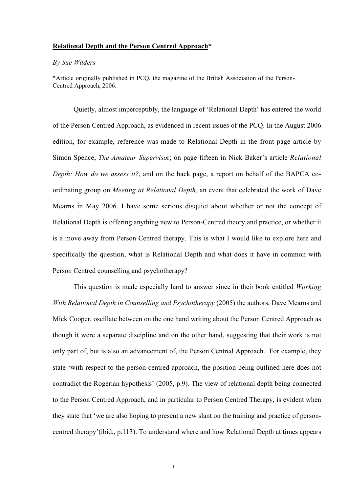## Relational Depth and the Person Centred Approach\*

## *By Sue Wilders*

\*Article originally published in PCQ, the magazine of the British Association of the Person-Centred Approach, 2006.

Quietly, almost imperceptibly, the language of 'Relational Depth' has entered the world of the Person Centred Approach, as evidenced in recent issues of the PCQ. In the August 2006 edition, for example, reference was made to Relational Depth in the front page article by Simon Spence, *The Amateur Superviso*r; on page fifteen in Nick Baker's article *Relational Depth: How do we assess it?*, and on the back page, a report on behalf of the BAPCA coordinating group on *Meeting at Relational Depth,* an event that celebrated the work of Dave Mearns in May 2006. I have some serious disquiet about whether or not the concept of Relational Depth is offering anything new to Person-Centred theory and practice, or whether it is a move away from Person Centred therapy. This is what I would like to explore here and specifically the question, what is Relational Depth and what does it have in common with Person Centred counselling and psychotherapy?

This question is made especially hard to answer since in their book entitled *Working With Relational Depth in Counselling and Psychotherapy* (2005) the authors, Dave Mearns and Mick Cooper, oscillate between on the one hand writing about the Person Centred Approach as though it were a separate discipline and on the other hand, suggesting that their work is not only part of, but is also an advancement of, the Person Centred Approach. For example, they state 'with respect to the person-centred approach, the position being outlined here does not contradict the Rogerian hypothesis' (2005, p.9). The view of relational depth being connected to the Person Centred Approach, and in particular to Person Centred Therapy, is evident when they state that 'we are also hoping to present a new slant on the training and practice of personcentred therapy'(ibid., p.113). To understand where and how Relational Depth at times appears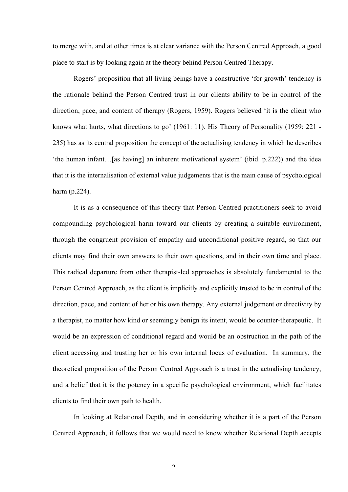to merge with, and at other times is at clear variance with the Person Centred Approach, a good place to start is by looking again at the theory behind Person Centred Therapy.

Rogers' proposition that all living beings have a constructive 'for growth' tendency is the rationale behind the Person Centred trust in our clients ability to be in control of the direction, pace, and content of therapy (Rogers, 1959). Rogers believed 'it is the client who knows what hurts, what directions to go' (1961: 11). His Theory of Personality (1959: 221 - 235) has as its central proposition the concept of the actualising tendency in which he describes 'the human infant…[as having] an inherent motivational system' (ibid. p.222)) and the idea that it is the internalisation of external value judgements that is the main cause of psychological harm (p.224).

It is as a consequence of this theory that Person Centred practitioners seek to avoid compounding psychological harm toward our clients by creating a suitable environment, through the congruent provision of empathy and unconditional positive regard, so that our clients may find their own answers to their own questions, and in their own time and place. This radical departure from other therapist-led approaches is absolutely fundamental to the Person Centred Approach, as the client is implicitly and explicitly trusted to be in control of the direction, pace, and content of her or his own therapy. Any external judgement or directivity by a therapist, no matter how kind or seemingly benign its intent, would be counter-therapeutic. It would be an expression of conditional regard and would be an obstruction in the path of the client accessing and trusting her or his own internal locus of evaluation. In summary, the theoretical proposition of the Person Centred Approach is a trust in the actualising tendency, and a belief that it is the potency in a specific psychological environment, which facilitates clients to find their own path to health.

In looking at Relational Depth, and in considering whether it is a part of the Person Centred Approach, it follows that we would need to know whether Relational Depth accepts

 $\overline{\phantom{a}}$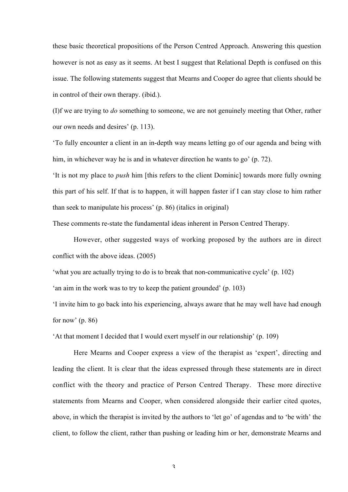these basic theoretical propositions of the Person Centred Approach. Answering this question however is not as easy as it seems. At best I suggest that Relational Depth is confused on this issue. The following statements suggest that Mearns and Cooper do agree that clients should be in control of their own therapy. (ibid.).

(I)f we are trying to *do* something to someone, we are not genuinely meeting that Other, rather our own needs and desires' (p. 113).

'To fully encounter a client in an in-depth way means letting go of our agenda and being with him, in whichever way he is and in whatever direction he wants to go' (p. 72).

'It is not my place to *push* him [this refers to the client Dominic] towards more fully owning this part of his self. If that is to happen, it will happen faster if I can stay close to him rather than seek to manipulate his process' (p. 86) (italics in original)

These comments re-state the fundamental ideas inherent in Person Centred Therapy.

However, other suggested ways of working proposed by the authors are in direct conflict with the above ideas. (2005)

'what you are actually trying to do is to break that non-communicative cycle' (p. 102)

'an aim in the work was to try to keep the patient grounded' (p. 103)

'I invite him to go back into his experiencing, always aware that he may well have had enough for now'  $(p. 86)$ 

'At that moment I decided that I would exert myself in our relationship' (p. 109)

Here Mearns and Cooper express a view of the therapist as 'expert', directing and leading the client. It is clear that the ideas expressed through these statements are in direct conflict with the theory and practice of Person Centred Therapy. These more directive statements from Mearns and Cooper, when considered alongside their earlier cited quotes, above, in which the therapist is invited by the authors to 'let go' of agendas and to 'be with' the client, to follow the client, rather than pushing or leading him or her, demonstrate Mearns and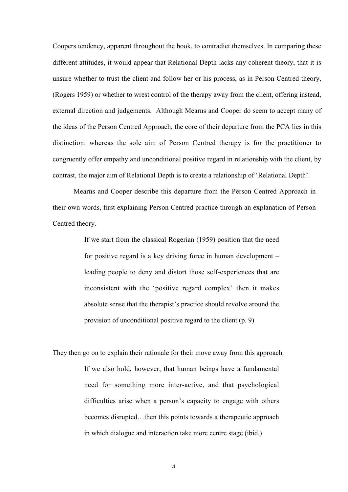Coopers tendency, apparent throughout the book, to contradict themselves. In comparing these different attitudes, it would appear that Relational Depth lacks any coherent theory, that it is unsure whether to trust the client and follow her or his process, as in Person Centred theory, (Rogers 1959) or whether to wrest control of the therapy away from the client, offering instead, external direction and judgements. Although Mearns and Cooper do seem to accept many of the ideas of the Person Centred Approach, the core of their departure from the PCA lies in this distinction: whereas the sole aim of Person Centred therapy is for the practitioner to congruently offer empathy and unconditional positive regard in relationship with the client, by contrast, the major aim of Relational Depth is to create a relationship of 'Relational Depth'.

Mearns and Cooper describe this departure from the Person Centred Approach in their own words, first explaining Person Centred practice through an explanation of Person Centred theory.

> If we start from the classical Rogerian (1959) position that the need for positive regard is a key driving force in human development – leading people to deny and distort those self-experiences that are inconsistent with the 'positive regard complex' then it makes absolute sense that the therapist's practice should revolve around the provision of unconditional positive regard to the client (p. 9)

They then go on to explain their rationale for their move away from this approach.

If we also hold, however, that human beings have a fundamental need for something more inter-active, and that psychological difficulties arise when a person's capacity to engage with others becomes disrupted…then this points towards a therapeutic approach in which dialogue and interaction take more centre stage (ibid.)

 $\overline{\Lambda}$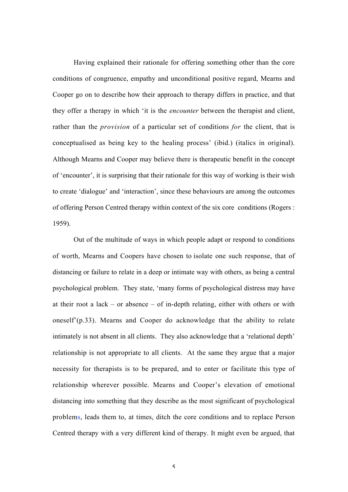Having explained their rationale for offering something other than the core conditions of congruence, empathy and unconditional positive regard, Mearns and Cooper go on to describe how their approach to therapy differs in practice, and that they offer a therapy in which 'it is the *encounter* between the therapist and client, rather than the *provision* of a particular set of conditions *for* the client, that is conceptualised as being key to the healing process' (ibid.) (italics in original). Although Mearns and Cooper may believe there is therapeutic benefit in the concept of 'encounter', it is surprising that their rationale for this way of working is their wish to create 'dialogue' and 'interaction', since these behaviours are among the outcomes of offering Person Centred therapy within context of the six core conditions (Rogers : 1959).

Out of the multitude of ways in which people adapt or respond to conditions of worth, Mearns and Coopers have chosen to isolate one such response, that of distancing or failure to relate in a deep or intimate way with others, as being a central psychological problem. They state, 'many forms of psychological distress may have at their root a lack – or absence – of in-depth relating, either with others or with oneself'(p.33). Mearns and Cooper do acknowledge that the ability to relate intimately is not absent in all clients. They also acknowledge that a 'relational depth' relationship is not appropriate to all clients. At the same they argue that a major necessity for therapists is to be prepared, and to enter or facilitate this type of relationship wherever possible. Mearns and Cooper's elevation of emotional distancing into something that they describe as the most significant of psychological problems, leads them to, at times, ditch the core conditions and to replace Person Centred therapy with a very different kind of therapy. It might even be argued, that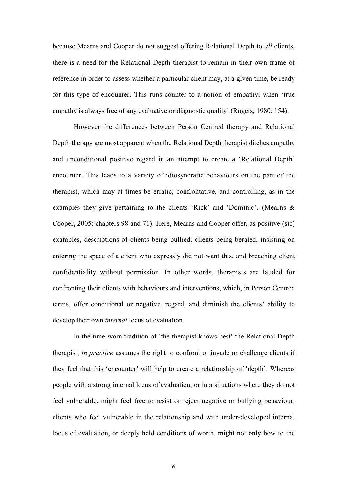because Mearns and Cooper do not suggest offering Relational Depth to *all* clients, there is a need for the Relational Depth therapist to remain in their own frame of reference in order to assess whether a particular client may, at a given time, be ready for this type of encounter. This runs counter to a notion of empathy, when 'true empathy is always free of any evaluative or diagnostic quality' (Rogers, 1980: 154).

However the differences between Person Centred therapy and Relational Depth therapy are most apparent when the Relational Depth therapist ditches empathy and unconditional positive regard in an attempt to create a 'Relational Depth' encounter. This leads to a variety of idiosyncratic behaviours on the part of the therapist, which may at times be erratic, confrontative, and controlling, as in the examples they give pertaining to the clients 'Rick' and 'Dominic'. (Mearns & Cooper, 2005: chapters 98 and 71). Here, Mearns and Cooper offer, as positive (sic) examples, descriptions of clients being bullied, clients being berated, insisting on entering the space of a client who expressly did not want this, and breaching client confidentiality without permission. In other words, therapists are lauded for confronting their clients with behaviours and interventions, which, in Person Centred terms, offer conditional or negative, regard, and diminish the clients' ability to develop their own *internal* locus of evaluation.

In the time-worn tradition of 'the therapist knows best' the Relational Depth therapist, *in practice* assumes the right to confront or invade or challenge clients if they feel that this 'encounter' will help to create a relationship of 'depth'. Whereas people with a strong internal locus of evaluation, or in a situations where they do not feel vulnerable, might feel free to resist or reject negative or bullying behaviour, clients who feel vulnerable in the relationship and with under-developed internal locus of evaluation, or deeply held conditions of worth, might not only bow to the

6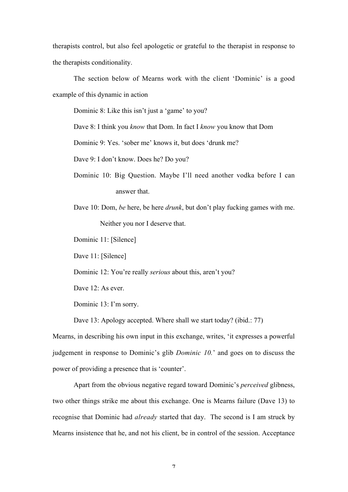therapists control, but also feel apologetic or grateful to the therapist in response to the therapists conditionality.

The section below of Mearns work with the client 'Dominic' is a good example of this dynamic in action

Dominic 8: Like this isn't just a 'game' to you?

Dave 8: I think you *know* that Dom. In fact I *know* you know that Dom

Dominic 9: Yes. 'sober me' knows it, but does 'drunk me?

Dave 9: I don't know. Does he? Do you?

- Dominic 10: Big Question. Maybe I'll need another vodka before I can answer that.
- Dave 10: Dom, *be* here, be here *drunk*, but don't play fucking games with me. Neither you nor I deserve that.

Dominic 11: [Silence]

Dave 11: [Silence]

Dominic 12: You're really *serious* about this, aren't you?

Dave 12: As ever.

Dominic 13: I'm sorry.

Dave 13: Apology accepted. Where shall we start today? (ibid.: 77)

Mearns, in describing his own input in this exchange, writes, 'it expresses a powerful judgement in response to Dominic's glib *Dominic 10.*' and goes on to discuss the power of providing a presence that is 'counter'.

Apart from the obvious negative regard toward Dominic's *perceived* glibness, two other things strike me about this exchange. One is Mearns failure (Dave 13) to recognise that Dominic had *already* started that day. The second is I am struck by Mearns insistence that he, and not his client, be in control of the session. Acceptance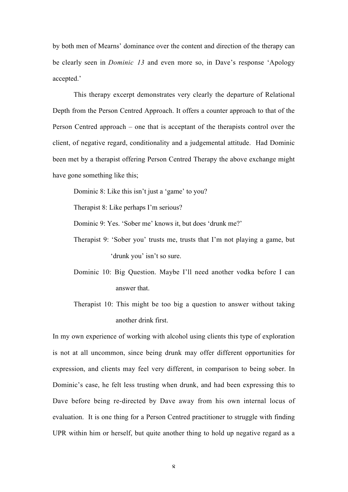by both men of Mearns' dominance over the content and direction of the therapy can be clearly seen in *Dominic 13* and even more so, in Dave's response 'Apology accepted.'

This therapy excerpt demonstrates very clearly the departure of Relational Depth from the Person Centred Approach. It offers a counter approach to that of the Person Centred approach – one that is acceptant of the therapists control over the client, of negative regard, conditionality and a judgemental attitude. Had Dominic been met by a therapist offering Person Centred Therapy the above exchange might have gone something like this;

Dominic 8: Like this isn't just a 'game' to you?

Therapist 8: Like perhaps I'm serious?

Dominic 9: Yes. 'Sober me' knows it, but does 'drunk me?'

- Therapist 9: 'Sober you' trusts me, trusts that I'm not playing a game, but 'drunk you' isn't so sure.
- Dominic 10: Big Question. Maybe I'll need another vodka before I can answer that.
- Therapist 10: This might be too big a question to answer without taking another drink first.

In my own experience of working with alcohol using clients this type of exploration is not at all uncommon, since being drunk may offer different opportunities for expression, and clients may feel very different, in comparison to being sober. In Dominic's case, he felt less trusting when drunk, and had been expressing this to Dave before being re-directed by Dave away from his own internal locus of evaluation. It is one thing for a Person Centred practitioner to struggle with finding UPR within him or herself, but quite another thing to hold up negative regard as a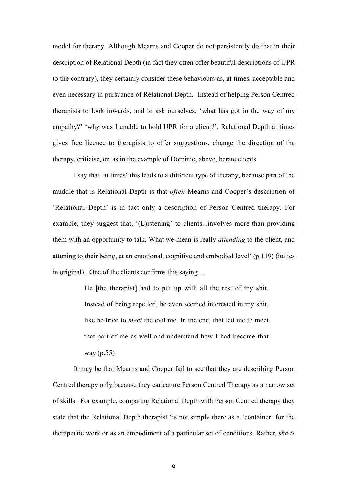model for therapy. Although Mearns and Cooper do not persistently do that in their description of Relational Depth (in fact they often offer beautiful descriptions of UPR to the contrary), they certainly consider these behaviours as, at times, acceptable and even necessary in pursuance of Relational Depth. Instead of helping Person Centred therapists to look inwards, and to ask ourselves, 'what has got in the way of my empathy?' 'why was I unable to hold UPR for a client?', Relational Depth at times gives free licence to therapists to offer suggestions, change the direction of the therapy, criticise, or, as in the example of Dominic, above, berate clients.

I say that 'at times' this leads to a different type of therapy, because part of the muddle that is Relational Depth is that *often* Mearns and Cooper's description of 'Relational Depth' is in fact only a description of Person Centred therapy. For example, they suggest that, '(L)istening' to clients...involves more than providing them with an opportunity to talk. What we mean is really *attending* to the client, and attuning to their being, at an emotional, cognitive and embodied level' (p.119) (italics in original). One of the clients confirms this saying…

> He [the therapist] had to put up with all the rest of my shit. Instead of being repelled, he even seemed interested in my shit, like he tried to *meet* the evil me. In the end, that led me to meet that part of me as well and understand how I had become that way (p.55)

It may be that Mearns and Cooper fail to see that they are describing Person Centred therapy only because they caricature Person Centred Therapy as a narrow set of skills. For example, comparing Relational Depth with Person Centred therapy they state that the Relational Depth therapist 'is not simply there as a 'container' for the therapeutic work or as an embodiment of a particular set of conditions. Rather, *she is*

 $\overline{Q}$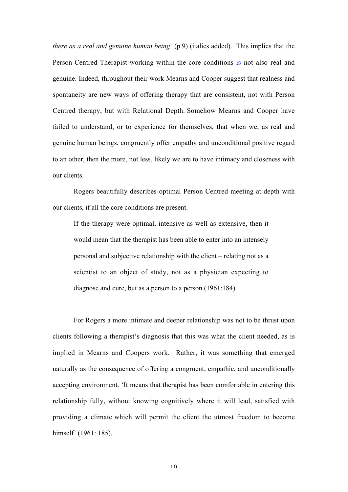*there as a real and genuine human being'* (p.9) (italics added). This implies that the Person-Centred Therapist working within the core conditions is not also real and genuine. Indeed, throughout their work Mearns and Cooper suggest that realness and spontaneity are new ways of offering therapy that are consistent, not with Person Centred therapy, but with Relational Depth. Somehow Mearns and Cooper have failed to understand, or to experience for themselves, that when we, as real and genuine human beings, congruently offer empathy and unconditional positive regard to an other, then the more, not less, likely we are to have intimacy and closeness with our clients.

Rogers beautifully describes optimal Person Centred meeting at depth with our clients, if all the core conditions are present.

If the therapy were optimal, intensive as well as extensive, then it would mean that the therapist has been able to enter into an intensely personal and subjective relationship with the client – relating not as a scientist to an object of study, not as a physician expecting to diagnose and cure, but as a person to a person (1961:184)

For Rogers a more intimate and deeper relationship was not to be thrust upon clients following a therapist's diagnosis that this was what the client needed, as is implied in Mearns and Coopers work. Rather, it was something that emerged naturally as the consequence of offering a congruent, empathic, and unconditionally accepting environment. 'It means that therapist has been comfortable in entering this relationship fully, without knowing cognitively where it will lead, satisfied with providing a climate which will permit the client the utmost freedom to become himself' (1961: 185).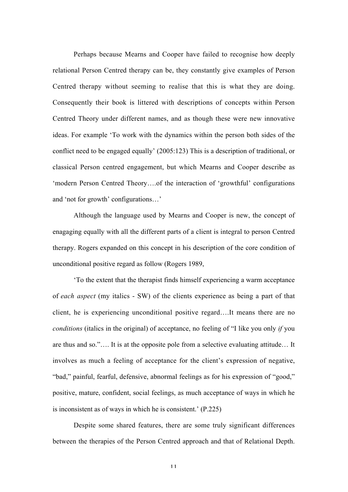Perhaps because Mearns and Cooper have failed to recognise how deeply relational Person Centred therapy can be, they constantly give examples of Person Centred therapy without seeming to realise that this is what they are doing. Consequently their book is littered with descriptions of concepts within Person Centred Theory under different names, and as though these were new innovative ideas. For example 'To work with the dynamics within the person both sides of the conflict need to be engaged equally' (2005:123) This is a description of traditional, or classical Person centred engagement, but which Mearns and Cooper describe as 'modern Person Centred Theory….of the interaction of 'growthful' configurations and 'not for growth' configurations…'

Although the language used by Mearns and Cooper is new, the concept of enagaging equally with all the different parts of a client is integral to person Centred therapy. Rogers expanded on this concept in his description of the core condition of unconditional positive regard as follow (Rogers 1989,

'To the extent that the therapist finds himself experiencing a warm acceptance of *each aspect* (my italics - SW) of the clients experience as being a part of that client, he is experiencing unconditional positive regard….It means there are no *conditions* (italics in the original) of acceptance, no feeling of "I like you only *if* you are thus and so."…. It is at the opposite pole from a selective evaluating attitude… It involves as much a feeling of acceptance for the client's expression of negative, "bad," painful, fearful, defensive, abnormal feelings as for his expression of "good," positive, mature, confident, social feelings, as much acceptance of ways in which he is inconsistent as of ways in which he is consistent.' (P.225)

Despite some shared features, there are some truly significant differences between the therapies of the Person Centred approach and that of Relational Depth.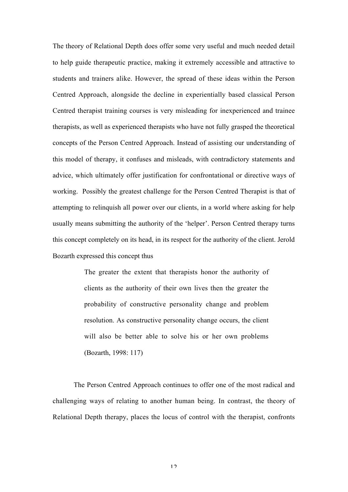The theory of Relational Depth does offer some very useful and much needed detail to help guide therapeutic practice, making it extremely accessible and attractive to students and trainers alike. However, the spread of these ideas within the Person Centred Approach, alongside the decline in experientially based classical Person Centred therapist training courses is very misleading for inexperienced and trainee therapists, as well as experienced therapists who have not fully grasped the theoretical concepts of the Person Centred Approach. Instead of assisting our understanding of this model of therapy, it confuses and misleads, with contradictory statements and advice, which ultimately offer justification for confrontational or directive ways of working. Possibly the greatest challenge for the Person Centred Therapist is that of attempting to relinquish all power over our clients, in a world where asking for help usually means submitting the authority of the 'helper'. Person Centred therapy turns this concept completely on its head, in its respect for the authority of the client. Jerold Bozarth expressed this concept thus

> The greater the extent that therapists honor the authority of clients as the authority of their own lives then the greater the probability of constructive personality change and problem resolution. As constructive personality change occurs, the client will also be better able to solve his or her own problems (Bozarth, 1998: 117)

The Person Centred Approach continues to offer one of the most radical and challenging ways of relating to another human being. In contrast, the theory of Relational Depth therapy, places the locus of control with the therapist, confronts